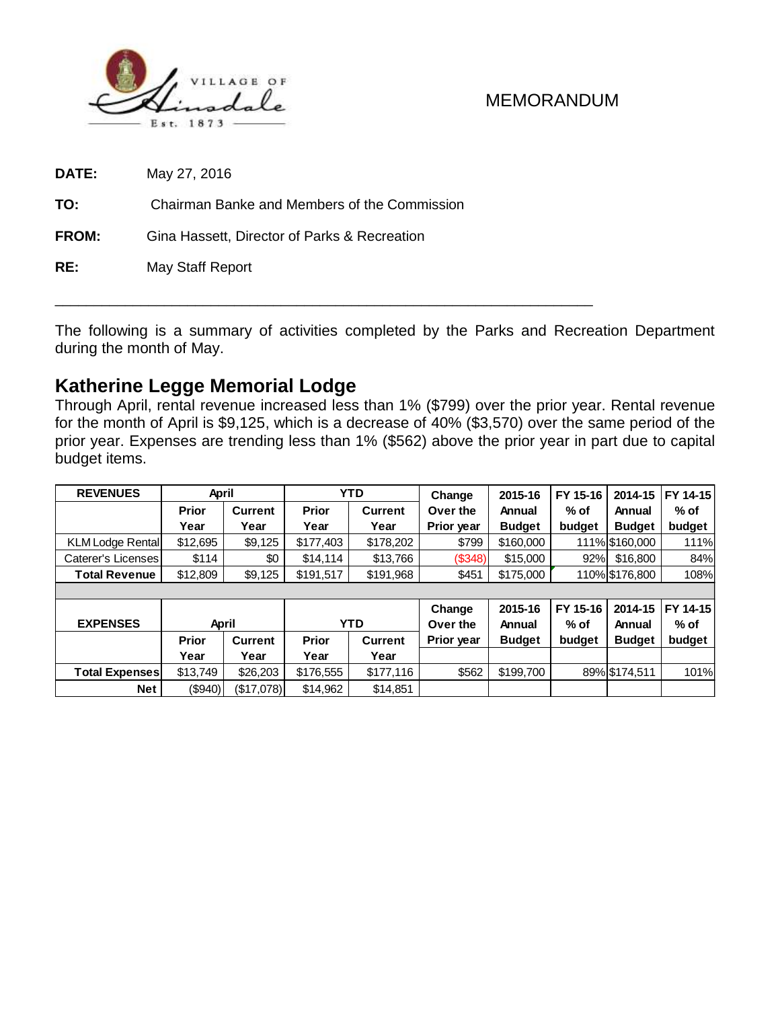

**DATE:** May 27, 2016

**TO:** Chairman Banke and Members of the Commission

**FROM:** Gina Hassett, Director of Parks & Recreation

**RE:** May Staff Report

The following is a summary of activities completed by the Parks and Recreation Department during the month of May.

\_\_\_\_\_\_\_\_\_\_\_\_\_\_\_\_\_\_\_\_\_\_\_\_\_\_\_\_\_\_\_\_\_\_\_\_\_\_\_\_\_\_\_\_\_\_\_\_\_\_\_\_\_\_\_\_\_\_\_\_\_\_\_\_\_\_\_\_\_

# **Katherine Legge Memorial Lodge**

Through April, rental revenue increased less than 1% (\$799) over the prior year. Rental revenue for the month of April is \$9,125, which is a decrease of 40% (\$3,570) over the same period of the prior year. Expenses are trending less than 1% (\$562) above the prior year in part due to capital budget items.

| <b>REVENUES</b>         | April          |                | <b>YTD</b>   |                | Change             | 2015-16       | FY 15-16 | 2014-15        | FY 14-15 |  |  |
|-------------------------|----------------|----------------|--------------|----------------|--------------------|---------------|----------|----------------|----------|--|--|
|                         | <b>Prior</b>   | <b>Current</b> | <b>Prior</b> | <b>Current</b> | Over the           | Annual        | $%$ of   | Annual         | $%$ of   |  |  |
|                         | Year           | Year           | Year         | Year           | Prior year         | <b>Budget</b> | budget   | <b>Budget</b>  | budget   |  |  |
| <b>KLM Lodge Rental</b> | \$12,695       | \$9,125        | \$177,403    | \$178,202      | \$799              | \$160,000     |          | 111% \$160,000 | 111%     |  |  |
| Caterer's Licenses      | \$114          | \$0            | \$14.114     | \$13,766       | (S348)             | \$15,000      | 92%      | \$16,800       | 84%      |  |  |
| <b>Total Revenue</b>    | \$12,809       | \$9,125        | \$191,517    | \$191,968      | \$451              | \$175,000     |          | 110% \$176,800 | 108%     |  |  |
|                         |                |                |              |                |                    |               |          |                |          |  |  |
|                         |                |                |              |                | Change             | 2015-16       | FY 15-16 | 2014-15        | FY 14-15 |  |  |
| <b>EXPENSES</b>         | April          |                | <b>YTD</b>   |                | Over the<br>Annual |               | $%$ of   | Annual         | $%$ of   |  |  |
|                         | <b>Prior</b>   | <b>Current</b> | <b>Prior</b> | <b>Current</b> | Prior year         | <b>Budget</b> | budget   | <b>Budget</b>  | budget   |  |  |
|                         | Year           | Year           | Year         | Year           |                    |               |          |                |          |  |  |
| <b>Total Expenses</b>   | \$13,749       | \$26,203       | \$176,555    | \$177,116      | \$562              | \$199,700     |          | 89% \$174,511  | 101%     |  |  |
| Net                     | $($ \$940) $ $ | (\$17,078)     | \$14,962     | \$14,851       |                    |               |          |                |          |  |  |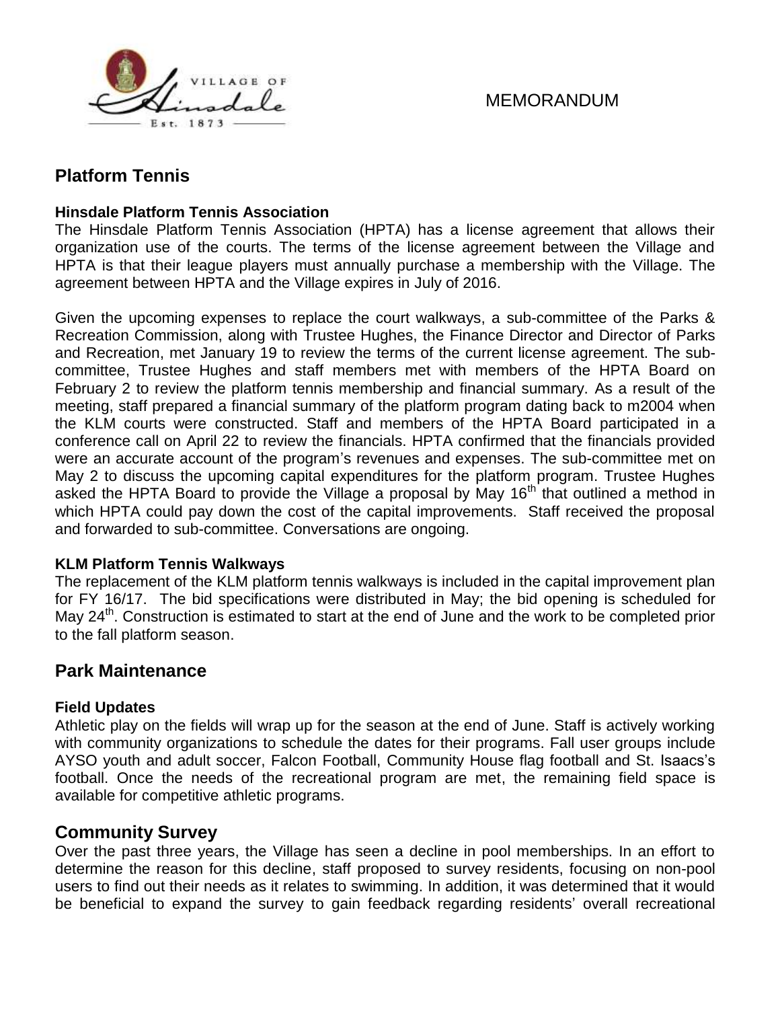

# **Platform Tennis**

#### **Hinsdale Platform Tennis Association**

The Hinsdale Platform Tennis Association (HPTA) has a license agreement that allows their organization use of the courts. The terms of the license agreement between the Village and HPTA is that their league players must annually purchase a membership with the Village. The agreement between HPTA and the Village expires in July of 2016.

Given the upcoming expenses to replace the court walkways, a sub-committee of the Parks & Recreation Commission, along with Trustee Hughes, the Finance Director and Director of Parks and Recreation, met January 19 to review the terms of the current license agreement. The subcommittee, Trustee Hughes and staff members met with members of the HPTA Board on February 2 to review the platform tennis membership and financial summary. As a result of the meeting, staff prepared a financial summary of the platform program dating back to m2004 when the KLM courts were constructed. Staff and members of the HPTA Board participated in a conference call on April 22 to review the financials. HPTA confirmed that the financials provided were an accurate account of the program's revenues and expenses. The sub-committee met on May 2 to discuss the upcoming capital expenditures for the platform program. Trustee Hughes asked the HPTA Board to provide the Village a proposal by May 16<sup>th</sup> that outlined a method in which HPTA could pay down the cost of the capital improvements. Staff received the proposal and forwarded to sub-committee. Conversations are ongoing.

#### **KLM Platform Tennis Walkways**

The replacement of the KLM platform tennis walkways is included in the capital improvement plan for FY 16/17. The bid specifications were distributed in May; the bid opening is scheduled for May 24<sup>th</sup>. Construction is estimated to start at the end of June and the work to be completed prior to the fall platform season.

# **Park Maintenance**

### **Field Updates**

Athletic play on the fields will wrap up for the season at the end of June. Staff is actively working with community organizations to schedule the dates for their programs. Fall user groups include AYSO youth and adult soccer, Falcon Football, Community House flag football and St. Isaacs's football. Once the needs of the recreational program are met, the remaining field space is available for competitive athletic programs.

# **Community Survey**

Over the past three years, the Village has seen a decline in pool memberships. In an effort to determine the reason for this decline, staff proposed to survey residents, focusing on non-pool users to find out their needs as it relates to swimming. In addition, it was determined that it would be beneficial to expand the survey to gain feedback regarding residents' overall recreational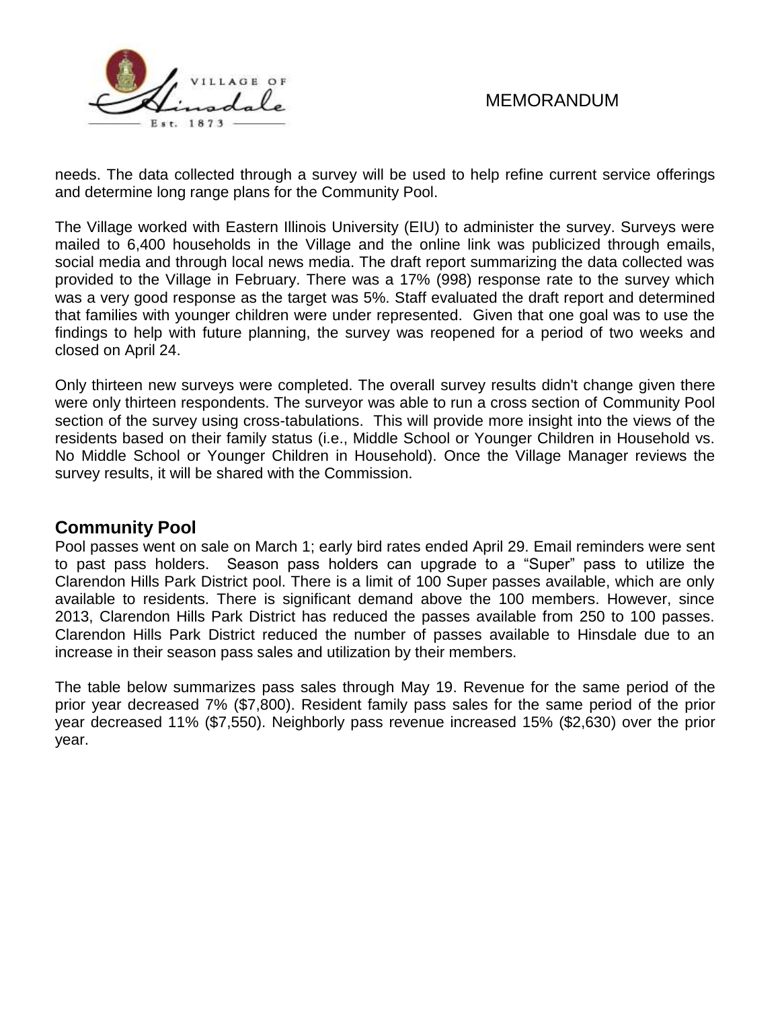

needs. The data collected through a survey will be used to help refine current service offerings and determine long range plans for the Community Pool.

The Village worked with Eastern Illinois University (EIU) to administer the survey. Surveys were mailed to 6,400 households in the Village and the online link was publicized through emails, social media and through local news media. The draft report summarizing the data collected was provided to the Village in February. There was a 17% (998) response rate to the survey which was a very good response as the target was 5%. Staff evaluated the draft report and determined that families with younger children were under represented. Given that one goal was to use the findings to help with future planning, the survey was reopened for a period of two weeks and closed on April 24.

Only thirteen new surveys were completed. The overall survey results didn't change given there were only thirteen respondents. The surveyor was able to run a cross section of Community Pool section of the survey using cross-tabulations. This will provide more insight into the views of the residents based on their family status (i.e., Middle School or Younger Children in Household vs. No Middle School or Younger Children in Household). Once the Village Manager reviews the survey results, it will be shared with the Commission.

# **Community Pool**

Pool passes went on sale on March 1; early bird rates ended April 29. Email reminders were sent to past pass holders. Season pass holders can upgrade to a "Super" pass to utilize the Clarendon Hills Park District pool. There is a limit of 100 Super passes available, which are only available to residents. There is significant demand above the 100 members. However, since 2013, Clarendon Hills Park District has reduced the passes available from 250 to 100 passes. Clarendon Hills Park District reduced the number of passes available to Hinsdale due to an increase in their season pass sales and utilization by their members.

The table below summarizes pass sales through May 19. Revenue for the same period of the prior year decreased 7% (\$7,800). Resident family pass sales for the same period of the prior year decreased 11% (\$7,550). Neighborly pass revenue increased 15% (\$2,630) over the prior year.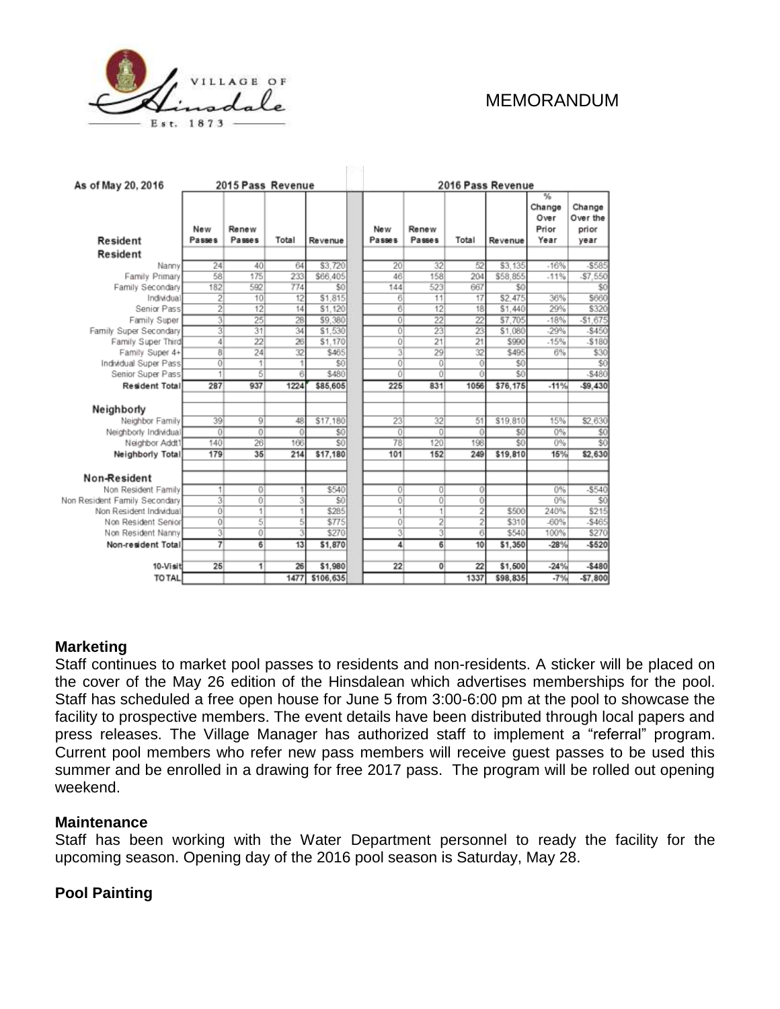

| As of May 20, 2016            | 2015 Pass Revenue |                 |          |           |               | 2016 Pass Revenue |                 |                 |          |                                      |                                     |  |
|-------------------------------|-------------------|-----------------|----------|-----------|---------------|-------------------|-----------------|-----------------|----------|--------------------------------------|-------------------------------------|--|
| Resident                      | New<br>Passes     | Renew<br>Passes | Total    | Revenue   | New<br>Passes |                   | Renew<br>Passes | Total           | Revenue  | ℁<br>Change<br>Over<br>Prior<br>Year | Change<br>Over the<br>prior<br>year |  |
| Resident                      |                   |                 |          |           |               |                   |                 |                 |          |                                      |                                     |  |
| Nanny                         | 24                | 40              | 64       | \$3,720   |               | 20 <sup>1</sup>   | 32              | 52              | \$3,135  | $-16%$                               | -\$585                              |  |
| Family Primary                | 58                | 175             | 233      | \$66.405  |               | 46                | 158             | 204             | \$58,855 | $-11%$                               | $-57.550$                           |  |
| Family Secondary              | 182               | 592             | 774      | \$0       |               | 144               | 523             | 667             | \$0      |                                      | \$0                                 |  |
| Individual                    | 2                 | 10              | 12       | \$1,815   |               | 6                 | 11              | 17              | \$2.475  | 36%                                  | \$660                               |  |
| Senior Pass                   | $\overline{2}$    | 12              | 14       | \$1.120   |               | 61                | 12              | 18              | S1,440   | 29%                                  | \$320                               |  |
| Family Super                  | 31                | 25              | 28       | \$9,380   |               | $\overline{0}$    | $\overline{22}$ | $\overline{22}$ | \$7,705  | $-18%$                               | $-$1,675$                           |  |
| Family Super Secondary        | $\overline{3}$    | 31              | 34       | \$1.530   |               | $\overline{0}$    | 23              | 23              | \$1.080  | $-29%$                               | $-$ \$450                           |  |
| Family Super Third            | 4                 | 22              | 26       | \$1,170   |               | Ö                 | 21              | $\overline{21}$ | \$990    | $-15%$                               | $-5180$                             |  |
| Family Super 4+               | 8                 | 24              | 32       | \$465     |               | 31                | 29              | 32              | \$495    | 6%                                   | \$30                                |  |
| Individual Super Pass         | 0                 | 1               |          | \$0       |               | $\overline{0}$    | $\Omega$        | 0               | \$0      |                                      | \$0                                 |  |
| Senior Super Pass             | 1                 | 5               | 6        | \$480     |               | 0                 | o               | 0               | \$0      |                                      | $-5480$                             |  |
| <b>Resident Total</b>         | 287               | 937             | 1224     | \$85,605  |               | 225               | 831             | 1056            | \$76.175 | $-11%$                               | $-59.430$                           |  |
| Neighborly                    |                   |                 |          |           |               |                   |                 |                 |          |                                      |                                     |  |
| Neighbor Family               | 39                | $\overline{9}$  | 48       | \$17,180  |               | 23                | 32              | 51              | \$19,810 | 15%                                  | \$2.630                             |  |
| Neighborly Individual         | $\Omega$          | $\overline{0}$  | $\bf{0}$ | \$0       |               | $\overline{0}$    | 0               | $\Omega$        | \$0      | $0\%$                                | \$0                                 |  |
| Neighbor Addt1                | 140               | 26              | 166      | \$0       |               | 78                | 120             | 198             | \$0      | $0\%$                                | $\overline{\$0}$                    |  |
| Neighborly Total              | 179               | 35              | 214      | \$17,180  |               | 101               | 152             | 249             | \$19,810 | 15%                                  | \$2,630                             |  |
| Non-Resident                  |                   |                 |          |           |               |                   |                 |                 |          |                                      |                                     |  |
| Non Resident Family           | 1                 | $\overline{0}$  |          | \$540     |               | $\overline{0}$    | $\Omega$        | 0               |          | $0\%$                                | $-$ \$540                           |  |
| Non Resident Family Secondary | 31                | $\overline{0}$  | 3        | \$0       |               | $\overline{0}$    | 0               | 0               |          | 0%                                   | \$0                                 |  |
| Non Resident Individual       | 0                 | 1               |          | \$285     |               | $\vert$           |                 | $\overline{2}$  | \$500    | 240%                                 | \$215                               |  |
| Non Resident Senior           | 0                 | $\overline{5}$  | 5        | \$775     |               | 0                 | 2               | 2               | \$310    | $-60%$                               | $-$465$                             |  |
| Non Resident Nanny            | 3                 | ōĪ              | 3        | \$270     |               | 31                | 3               | $\overline{6}$  | \$540    | 100%                                 | \$270                               |  |
| Non-resident Total            | 7                 | 6               | 13       | \$1,870   |               | 41                | 6               | 10              | \$1,350  | $-28%$                               | $-$520$                             |  |
| 10-Visit                      | 25                | 1               | 26       | \$1,980   |               | 22                | 0               | 22              | \$1,500  | $-24%$                               | $-$480$                             |  |
| <b>TO TAL</b>                 |                   |                 | 1477     | \$106,635 |               |                   |                 | 1337            | \$98,835 | $-7%$                                | $-57,800$                           |  |

#### **Marketing**

Staff continues to market pool passes to residents and non-residents. A sticker will be placed on the cover of the May 26 edition of the Hinsdalean which advertises memberships for the pool. Staff has scheduled a free open house for June 5 from 3:00-6:00 pm at the pool to showcase the facility to prospective members. The event details have been distributed through local papers and press releases. The Village Manager has authorized staff to implement a "referral" program. Current pool members who refer new pass members will receive guest passes to be used this summer and be enrolled in a drawing for free 2017 pass. The program will be rolled out opening weekend.

#### **Maintenance**

Staff has been working with the Water Department personnel to ready the facility for the upcoming season. Opening day of the 2016 pool season is Saturday, May 28.

#### **Pool Painting**